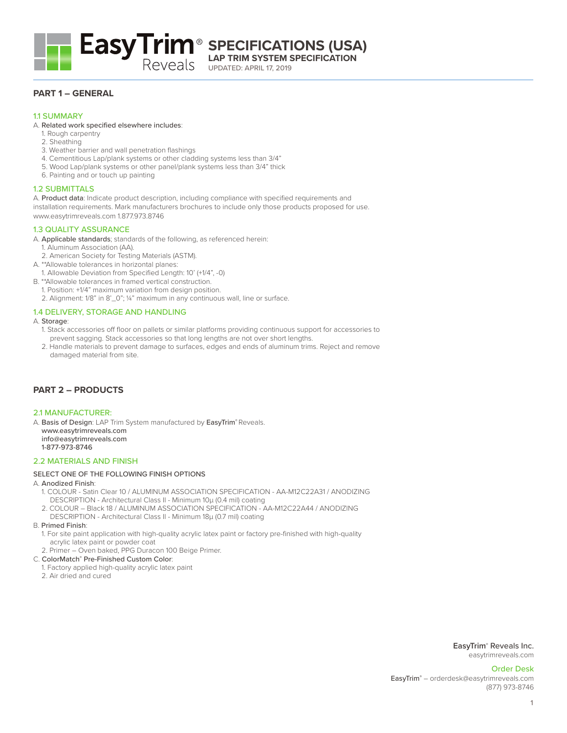

**LAP TRIM SYSTEM SPECIFICATION**

UPDATED: APRIL 17, 2019

# **PART 1 – GENERAL**

## 11 SUMMARY

## A. Related work specified elsewhere includes:

- 1. Rough carpentry
- 2. Sheathing
- 3. Weather barrier and wall penetration flashings
- 4. Cementitious Lap/plank systems or other cladding systems less than 3/4"
- 5. Wood Lap/plank systems or other panel/plank systems less than 3/4" thick
- 6. Painting and or touch up painting

# 1.2 SUBMITTALS

A. Product data: Indicate product description, including compliance with specified requirements and installation requirements. Mark manufacturers brochures to include only those products proposed for use. www.easytrimreveals.com 1.877.973.8746

## 1.3 QUALITY ASSURANCE

A. Applicable standards; standards of the following, as referenced herein:

- 1. Aluminum Association (AA).
- 2. American Society for Testing Materials (ASTM).
- A. \*\*Allowable tolerances in horizontal planes:
- 1. Allowable Deviation from Specified Length: 10' (+1/4", -0)
- B. \*\*Allowable tolerances in framed vertical construction.
	- 1. Position: +1/4" maximum variation from design position.
	- 2. Alignment: 1/8" in 8'\_0"; ¼" maximum in any continuous wall, line or surface.

## 1.4 DELIVERY, STORAGE AND HANDLING

#### A. Storage:

- 1. Stack accessories off floor on pallets or similar platforms providing continuous support for accessories to prevent sagging. Stack accessories so that long lengths are not over short lengths.
- 2. Handle materials to prevent damage to surfaces, edges and ends of aluminum trims. Reject and remove damaged material from site.

# **PART 2 – PRODUCTS**

#### 2.1 MANUFACTURER:

A. Basis of Design: LAP Trim System manufactured by EasyTrim® Reveals. www.easytrimreveals.com info@easytrimreveals.com 1-877-973-8746

#### 2.2 MATERIALS AND FINISH

## SELECT ONE OF THE FOLLOWING FINISH OPTIONS

#### A. Anodized Finish:

- 1. COLOUR Satin Clear 10 / ALUMINUM ASSOCIATION SPECIFICATION AA-M12C22A31 / ANODIZING DESCRIPTION - Architectural Class II - Minimum 10μ (0.4 mil) coating
- 2. COLOUR Black 18 / ALUMINUM ASSOCIATION SPECIFICATION AA-M12C22A44 / ANODIZING DESCRIPTION - Architectural Class II - Minimum 18μ (0.7 mil) coating

#### B. Primed Finish:

- 1. For site paint application with high-quality acrylic latex paint or factory pre-finished with high-quality acrylic latex paint or powder coat
- 2. Primer Oven baked, PPG Duracon 100 Beige Primer.

#### C. ColorMatch® Pre-Finished Custom Color:

- 1. Factory applied high-quality acrylic latex paint
- 2. Air dried and cured

**EasyTrim**® Reveals Inc. easytrimreveals.com

Order Desk EasyTrim® - orderdesk@easytrimreveals.com (877) 973-8746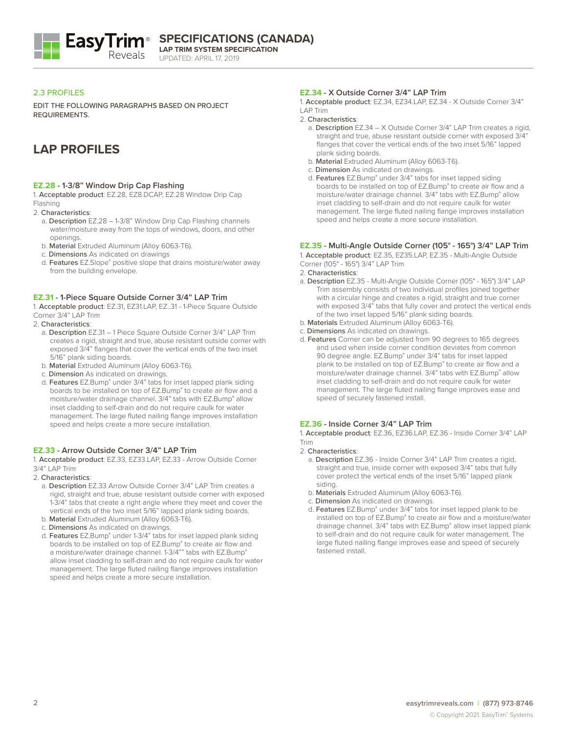

UPDATED: APRIL 17, 2019

## 2.3 PROFILES

EDIT THE FOLLOWING PARAGRAPHS BASED ON PROJECT REQUIREMENTS.

# **LAP PROFILES**

#### **EZ.28 - 1-3/8" Window Drip Cap Flashing**

1. Acceptable product: EZ.28, EZ8.DCAP, EZ.28 Window Drip Cap Flashing

2. Characteristics:

- a. Description EZ.28 1-3/8" Window Drip Cap Flashing channels water/moisture away from the tops of windows, doors, and other openings.
- b. Material Extruded Aluminum (Alloy 6063-T6).
- c. Dimensions As indicated on drawings
- d. Features EZ.Slope® positive slope that drains moisture/water away from the building envelope.

## **EZ.31 - 1-Piece Square Outside Corner 3/4" LAP Trim**

1. Acceptable product: EZ.31, EZ31.LAP, EZ..31 - 1-Piece Square Outside Corner 3/4" LAP Trim

- 2. Characteristics:
	- a. Description EZ.31 1 Piece Square Outside Corner 3/4" LAP Trim creates a rigid, straight and true, abuse resistant outside corner with exposed 3/4" flanges that cover the vertical ends of the two inset 5/16" plank siding boards.
	- b. Material Extruded Aluminum (Alloy 6063-T6).
	- c. Dimension As indicated on drawings.
	- d. Features EZ.Bump® under 3/4" tabs for inset lapped plank siding boards to be installed on top of EZ.Bump® to create air flow and a moisture/water drainage channel. 3/4" tabs with EZ.Bump® allow inset cladding to self-drain and do not require caulk for water management. The large fluted nailing flange improves installation speed and helps create a more secure installation.

## **EZ.33 - Arrow Outside Corner 3/4" LAP Trim**

1. Acceptable product: EZ.33, EZ33.LAP, EZ.33 - Arrow Outside Corner 3/4" LAP Trim

- 2. Characteristics:
	- a. Description EZ.33 Arrow Outside Corner 3/4" LAP Trim creates a rigid, straight and true, abuse resistant outside corner with exposed 1-3/4" tabs that create a right angle where they meet and cover the vertical ends of the two inset 5/16" lapped plank siding boards.
	- b. Material Extruded Aluminum (Alloy 6063-T6).
	- c. Dimensions As indicated on drawings.
	- d. Features EZ.Bump® under 1-3/4" tabs for inset lapped plank siding boards to be installed on top of EZ.Bump® to create air flow and a moisture/water drainage channel. 1-3/4"" tabs with EZ.Bump<sup>®</sup> allow inset cladding to self-drain and do not require caulk for water management. The large fluted nailing flange improves installation speed and helps create a more secure installation.

# **EZ.34 - X Outside Corner 3/4" LAP Trim**

1. Acceptable product: EZ.34, EZ34.LAP, EZ.34 - X Outside Corner 3/4" LAP Trim

2. Characteristics:

- a. Description EZ.34 X Outside Corner 3/4" LAP Trim creates a rigid, straight and true, abuse resistant outside corner with exposed 3/4" flanges that cover the vertical ends of the two inset 5/16" lapped plank siding boards.
- b. Material Extruded Aluminum (Alloy 6063-T6).
- c. Dimension As indicated on drawings.
- d. Features EZ.Bump® under 3/4" tabs for inset lapped siding boards to be installed on top of EZ.Bump® to create air flow and a moisture/water drainage channel. 3/4" tabs with EZ.Bump® allow inset cladding to self-drain and do not require caulk for water management. The large fluted nailing flange improves installation speed and helps create a more secure installation.

## **EZ.35 - Multi-Angle Outside Corner (105° - 165°) 3/4" LAP Trim**

1. Acceptable product: EZ.35, EZ35.LAP, EZ.35 - Multi-Angle Outside

Corner (105° - 165°) 3/4" LAP Trim

2. Characteristics:

- a. Description EZ.35 Multi-Angle Outside Corner (105° 165°) 3/4" LAP Trim assembly consists of two individual profiles joined together with a circular hinge and creates a rigid, straight and true corner with exposed 3/4" tabs that fully cover and protect the vertical ends of the two inset lapped 5/16" plank siding boards.
- b. Materials Extruded Aluminum (Alloy 6063-T6).
- c. Dimensions As indicated on drawings.
- d. Features Corner can be adjusted from 90 degrees to 165 degrees and used when inside corner condition deviates from common 90 degree angle. EZ.Bump® under 3/4" tabs for inset lapped plank to be installed on top of EZ.Bump® to create air flow and a moisture/water drainage channel. 3/4" tabs with EZ.Bump® allow inset cladding to self-drain and do not require caulk for water management. The large fluted nailing flange improves ease and speed of securely fastened install.

#### **EZ.36 - Inside Corner 3/4" LAP Trim**

1. Acceptable product: EZ.36, EZ36.LAP, EZ.36 - Inside Corner 3/4" LAP Trim

- 2. Characteristics:
	- a. Description EZ.36 Inside Corner 3/4" LAP Trim creates a rigid, straight and true, inside corner with exposed 3/4" tabs that fully cover protect the vertical ends of the inset 5/16" lapped plank siding.
	- b. Materials Extruded Aluminum (Alloy 6063-T6).
	- c. Dimension As indicated on drawings.
	- d. Features EZ.Bump® under 3/4" tabs for inset lapped plank to be installed on top of EZ.Bump® to create air flow and a moisture/water drainage channel. 3/4" tabs with EZ.Bump® allow inset lapped plank to self-drain and do not require caulk for water management. The large fluted nailing flange improves ease and speed of securely fastened install.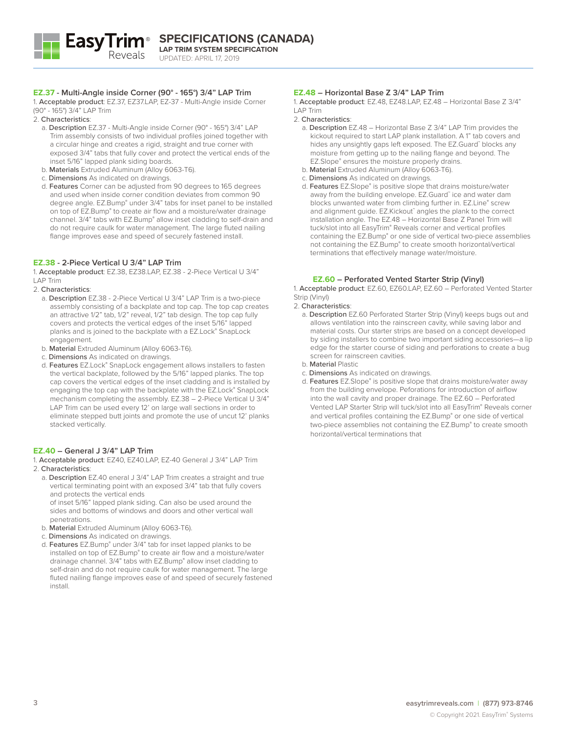

#### **EZ.37 - Multi-Angle inside Corner (90° - 165°) 3/4" LAP Trim**

1. Acceptable product: EZ.37, EZ37.LAP, EZ-37 - Multi-Angle inside Corner (90° - 165°) 3/4" LAP Trim

- 2. Characteristics:
	- a. Description EZ.37 Multi-Angle inside Corner (90° 165°) 3/4" LAP Trim assembly consists of two individual profiles joined together with a circular hinge and creates a rigid, straight and true corner with exposed 3/4" tabs that fully cover and protect the vertical ends of the inset 5/16" lapped plank siding boards.
	- b. Materials Extruded Aluminum (Alloy 6063-T6).
	- c. Dimensions As indicated on drawings.
	- d. Features Corner can be adjusted from 90 degrees to 165 degrees and used when inside corner condition deviates from common 90 degree angle. EZ.Bump® under 3/4" tabs for inset panel to be installed on top of EZ.Bump® to create air flow and a moisture/water drainage channel. 3/4" tabs with EZ.Bump® allow inset cladding to self-drain and do not require caulk for water management. The large fluted nailing flange improves ease and speed of securely fastened install.

#### **EZ.38 - 2-Piece Vertical U 3/4" LAP Trim**

1. Acceptable product: EZ.38, EZ38.LAP, EZ.38 - 2-Piece Vertical U 3/4" LAP Trim

#### 2. Characteristics:

- a. Description EZ.38 2-Piece Vertical U 3/4" LAP Trim is a two-piece assembly consisting of a backplate and top cap. The top cap creates an attractive 1/2" tab, 1/2" reveal, 1/2" tab design. The top cap fully covers and protects the vertical edges of the inset 5/16" lapped planks and is joined to the backplate with a EZ.Lock® SnapLock engagement.
- b. Material Extruded Aluminum (Alloy 6063-T6).
- c. Dimensions As indicated on drawings.
- d. Features EZ.Lock® SnapLock engagement allows installers to fasten the vertical backplate, followed by the 5/16" lapped planks. The top cap covers the vertical edges of the inset cladding and is installed by engaging the top cap with the backplate with the EZ.Lock® SnapLock mechanism completing the assembly. EZ.38 – 2-Piece Vertical U 3/4" LAP Trim can be used every 12' on large wall sections in order to eliminate stepped butt joints and promote the use of uncut 12' planks stacked vertically.

## **EZ.40 – General J 3/4" LAP Trim**

1. Acceptable product: EZ40, EZ40.LAP, EZ-40 General J 3/4" LAP Trim 2. Characteristics:

a. Description EZ.40 eneral J 3/4" LAP Trim creates a straight and true vertical terminating point with an exposed 3/4" tab that fully covers and protects the vertical ends

of inset 5/16" lapped plank siding. Can also be used around the sides and bottoms of windows and doors and other vertical wall penetrations.

- b. Material Extruded Aluminum (Alloy 6063-T6).
- c. Dimensions As indicated on drawings.
- d. Features EZ.Bump® under 3/4" tab for inset lapped planks to be installed on top of EZ.Bump® to create air flow and a moisture/water drainage channel. 3/4" tabs with EZ.Bump® allow inset cladding to self-drain and do not require caulk for water management. The large fluted nailing flange improves ease of and speed of securely fastened install.

## **EZ.48 – Horizontal Base Z 3/4" LAP Trim**

1. Acceptable product: EZ.48, EZ48.LAP, EZ.48 – Horizontal Base Z 3/4" LAP Trim

- 2. Characteristics:
	- a. Description EZ.48 Horizontal Base Z 3/4" LAP Trim provides the kickout required to start LAP plank installation. A 1" tab covers and hides any unsightly gaps left exposed. The EZ.Guard™ blocks any moisture from getting up to the nailing flange and beyond. The EZ.Slope® ensures the moisture properly drains.
	- b. Material Extruded Aluminum (Alloy 6063-T6).
	- c. Dimensions As indicated on drawings.
	- d. Features EZ.Slope® is positive slope that drains moisture/water away from the building envelope. EZ.Guard™ ice and water dam blocks unwanted water from climbing further in. EZ.Line® screw and alignment guide. EZ.Kickout™ angles the plank to the correct installation angle. The EZ.48 – Horizontal Base Z Panel Trim will tuck/slot into all EasyTrim® Reveals corner and vertical profiles containing the EZ.Bump® or one side of vertical two-piece assemblies not containing the EZ.Bump® to create smooth horizontal/vertical terminations that effectively manage water/moisture.

## **EZ.60 – Perforated Vented Starter Strip (Vinyl)**

1. Acceptable product: EZ.60, EZ60.LAP, EZ.60 – Perforated Vented Starter Strip (Vinyl)

- 2. Characteristics:
	- a. Description EZ.60 Perforated Starter Strip (Vinyl) keeps bugs out and allows ventilation into the rainscreen cavity, while saving labor and material costs. Our starter strips are based on a concept developed by siding installers to combine two important siding accessories—a lip edge for the starter course of siding and perforations to create a bug screen for rainscreen cavities.
	- b. Material Plastic
	- c. Dimensions As indicated on drawings.
	- d. Features EZ.Slope® is positive slope that drains moisture/water away from the building envelope. Peforations for introduction of airflow into the wall cavity and proper drainage. The EZ.60 – Perforated Vented LAP Starter Strip will tuck/slot into all EasyTrim® Reveals corner and vertical profiles containing the EZ.Bump® or one side of vertical two-piece assemblies not containing the EZ.Bump® to create smooth horizontal/vertical terminations that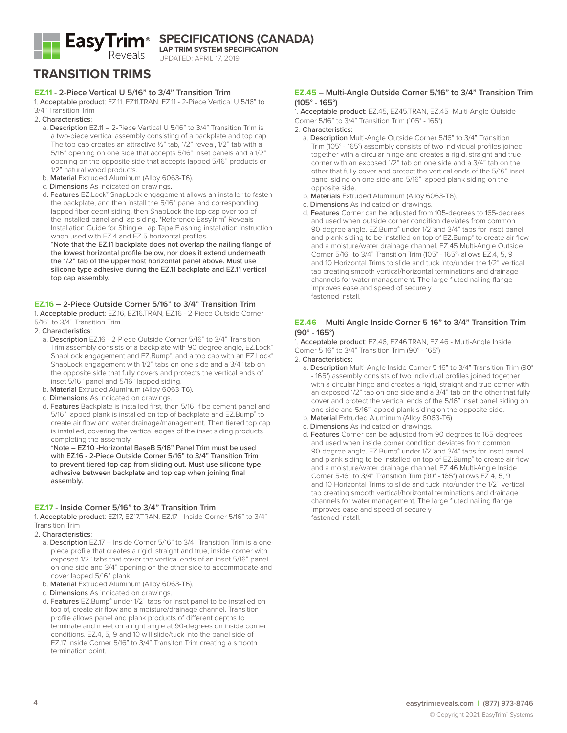

**EasyTrim**<sup>®</sup> SPECIFICATIONS (CANADA) **LAP TRIM SYSTEM SPECIFICATION**

UPDATED: APRIL 17, 2019

# **TRANSITION TRIMS**

## **EZ.11 - 2-Piece Vertical U 5/16" to 3/4" Transition Trim**

1. Acceptable product: EZ.11, EZ11.TRAN, EZ.11 - 2-Piece Vertical U 5/16" to 3/4" Transition Trim

- 2. Characteristics:
	- a. Description EZ.11 2-Piece Vertical U 5/16" to 3/4" Transition Trim is a two-piece vertical assembly consisting of a backplate and top cap. The top cap creates an attractive ½" tab, 1/2" reveal, 1/2" tab with a 5/16" opening on one side that accepts 5/16" inset panels and a 1/2" opening on the opposite side that accepts lapped 5/16" products or 1/2" natural wood products.
	- b. Material Extruded Aluminum (Alloy 6063-T6).
	- c. Dimensions As indicated on drawings.
	- d. Features EZ.Lock® SnapLock engagement allows an installer to fasten the backplate, and then install the 5/16" panel and corresponding lapped fiber ceent siding, then SnapLock the top cap over top of the installed panel and lap siding. \*Reference EasyTrim® Reveals Installation Guide for Shingle Lap Tape Flashing installation instruction when used with EZ.4 and EZ.5 horizontal profiles.

\*Note that the EZ.11 backplate does not overlap the nailing flange of the lowest horizontal profile below, nor does it extend underneath the 1/2" tab of the uppermost horizontal panel above. Must use silicone type adhesive during the EZ.11 backplate and EZ.11 vertical top cap assembly.

## **EZ.16 – 2-Piece Outside Corner 5/16" to 3/4" Transition Trim**

1. Acceptable product: EZ.16, EZ16.TRAN, EZ.16 - 2-Piece Outside Corner 5/16" to 3/4" Transition Trim

- 2. Characteristics:
	- a. Description EZ.16 2-Piece Outside Corner 5/16" to 3/4" Transition Trim assembly consists of a backplate with 90-degree angle, EZ.Lock® SnapLock engagement and EZ.Bump®, and a top cap with an EZ.Lock® SnapLock engagement with 1/2" tabs on one side and a 3/4" tab on the opposite side that fully covers and protects the vertical ends of inset 5/16" panel and 5/16" lapped siding.
	- b. Material Extruded Aluminum (Alloy 6063-T6).
	- c. Dimensions As indicated on drawings.
	- d. Features Backplate is installed first, then 5/16" fibe cement panel and 5/16" lapped plank is installed on top of backplate and EZ.Bump® to create air flow and water drainage/management. Then tiered top cap is installed, covering the vertical edges of the inset siding products completing the assembly.

\*Note – EZ.10 -Horizontal BaseB 5/16" Panel Trim must be used with EZ.16 - 2-Piece Outside Corner 5/16" to 3/4" Transition Trim to prevent tiered top cap from sliding out. Must use silicone type adhesive between backplate and top cap when joining final assembly.

#### **EZ.17 - Inside Corner 5/16" to 3/4" Transition Trim**

1. Acceptable product: EZ17, EZ17.TRAN, EZ.17 - Inside Corner 5/16" to 3/4" Transition Trim

2. Characteristics:

- a. Description EZ.17 Inside Corner 5/16" to 3/4" Transition Trim is a onepiece profile that creates a rigid, straight and true, inside corner with exposed 1/2" tabs that cover the vertical ends of an inset 5/16" panel on one side and 3/4" opening on the other side to accommodate and cover lapped 5/16" plank.
- b. Material Extruded Aluminum (Alloy 6063-T6).
- c. Dimensions As indicated on drawings.
- d. Features EZ.Bump® under 1/2" tabs for inset panel to be installed on top of, create air flow and a moisture/drainage channel. Transition profile allows panel and plank products of different depths to terminate and meet on a right angle at 90-degrees on inside corner conditions. EZ.4, 5, 9 and 10 will slide/tuck into the panel side of EZ.17 Inside Corner 5/16" to 3/4" Transiton Trim creating a smooth termination point.

#### **EZ.45 – Multi-Angle Outside Corner 5/16" to 3/4" Transition Trim (105° - 165°)**

1. Acceptable product: EZ.45, EZ45.TRAN, EZ.45 -Multi-Angle Outside Corner 5/16" to 3/4" Transition Trim (105° - 165°)

#### 2. Characteristics:

- a. Description Multi-Angle Outside Corner 5/16" to 3/4" Transition Trim (105° - 165°) assembly consists of two individual profiles joined together with a circular hinge and creates a rigid, straight and true corner with an exposed 1/2" tab on one side and a 3/4" tab on the other that fully cover and protect the vertical ends of the 5/16" inset panel siding on one side and 5/16" lapped plank siding on the opposite side.
- b. Materials Extruded Aluminum (Alloy 6063-T6).
- c. Dimensions As indicated on drawings.
- d. Features Corner can be adjusted from 105-degrees to 165-degrees and used when outside corner condition deviates from common 90-degree angle. EZ.Bump® under 1/2" and 3/4" tabs for inset panel and plank siding to be installed on top of EZ.Bump® to create air flow and a moisture/water drainage channel. EZ.45 Multi-Angle Outside Corner 5/16" to 3/4" Transition Trim (105° - 165°) allows EZ.4, 5, 9 and 10 Horizontal Trims to slide and tuck into/under the 1/2" vertical tab creating smooth vertical/horizontal terminations and drainage channels for water management. The large fluted nailing flange improves ease and speed of securely fastened install.

#### **EZ.46 – Multi-Angle Inside Corner 5-16" to 3/4" Transition Trim (90° - 165°)**

1. Acceptable product: EZ.46, EZ46.TRAN, EZ.46 - Multi-Angle Inside Corner 5-16" to 3/4" Transition Trim (90° - 165°)

#### 2. Characteristics:

- a. Description Multi-Angle Inside Corner 5-16" to 3/4" Transition Trim (90° - 165°) assembly consists of two individual profiles joined together with a circular hinge and creates a rigid, straight and true corner with an exposed 1/2" tab on one side and a 3/4" tab on the other that fully cover and protect the vertical ends of the 5/16" inset panel siding on one side and 5/16" lapped plank siding on the opposite side.
- b. Material Extruded Aluminum (Alloy 6063-T6).
- c. Dimensions As indicated on drawings.
- d. Features Corner can be adjusted from 90 degrees to 165-degrees and used when inside corner condition deviates from common 90-degree angle. EZ.Bump® under 1/2" and 3/4" tabs for inset panel and plank siding to be installed on top of EZ.Bump® to create air flow and a moisture/water drainage channel. EZ.46 Multi-Angle Inside Corner 5-16" to 3/4" Transition Trim (90° - 165°) allows EZ.4, 5, 9 and 10 Horizontal Trims to slide and tuck into/under the 1/2" vertical tab creating smooth vertical/horizontal terminations and drainage channels for water management. The large fluted nailing flange improves ease and speed of securely fastened install.